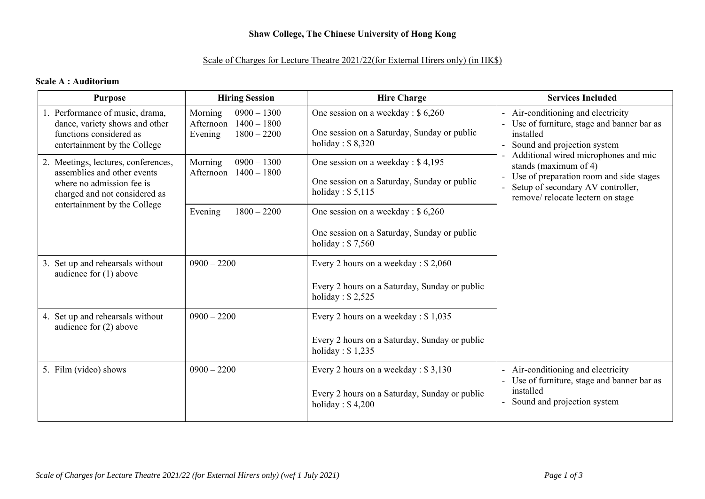# **Shaw College, The Chinese University of Hong Kong**

## Scale of Charges for Lecture Theatre 2021/22(for External Hirers only) (in HK\$)

#### **Scale A : Auditorium**

| <b>Purpose</b>                                                                                                                   | <b>Hiring Session</b>                                                              | <b>Hire Charge</b>                                                                                        | <b>Services Included</b>                                                                                                                                                          |
|----------------------------------------------------------------------------------------------------------------------------------|------------------------------------------------------------------------------------|-----------------------------------------------------------------------------------------------------------|-----------------------------------------------------------------------------------------------------------------------------------------------------------------------------------|
| 1. Performance of music, drama,<br>dance, variety shows and other<br>functions considered as<br>entertainment by the College     | $0900 - 1300$<br>Morning<br>$1400 - 1800$<br>Afternoon<br>$1800 - 2200$<br>Evening | One session on a weekday : \$6,260<br>One session on a Saturday, Sunday or public<br>holiday: $$8,320$    | - Air-conditioning and electricity<br>Use of furniture, stage and banner bar as<br>installed<br>Sound and projection system                                                       |
| 2. Meetings, lectures, conferences,<br>assemblies and other events<br>where no admission fee is<br>charged and not considered as | Morning<br>$0900 - 1300$<br>Afternoon<br>$1400 - 1800$                             | One session on a weekday : \$4,195<br>One session on a Saturday, Sunday or public<br>holiday: $$5,115$    | Additional wired microphones and mic<br>stands (maximum of 4)<br>Use of preparation room and side stages<br>Setup of secondary AV controller,<br>remove/relocate lectern on stage |
| entertainment by the College                                                                                                     | $1800 - 2200$<br>Evening                                                           | One session on a weekday : $$6,260$                                                                       |                                                                                                                                                                                   |
|                                                                                                                                  |                                                                                    | One session on a Saturday, Sunday or public<br>holiday: $$7,560$                                          |                                                                                                                                                                                   |
| 3. Set up and rehearsals without<br>audience for $(1)$ above                                                                     | $0900 - 2200$                                                                      | Every 2 hours on a weekday : \$2,060                                                                      |                                                                                                                                                                                   |
|                                                                                                                                  |                                                                                    | Every 2 hours on a Saturday, Sunday or public<br>holiday: $$2,525$                                        |                                                                                                                                                                                   |
| 4. Set up and rehearsals without<br>audience for $(2)$ above                                                                     | $0900 - 2200$                                                                      | Every 2 hours on a weekday : $$1,035$                                                                     |                                                                                                                                                                                   |
|                                                                                                                                  |                                                                                    | Every 2 hours on a Saturday, Sunday or public<br>holiday: $$1,235$                                        |                                                                                                                                                                                   |
| 5. Film (video) shows                                                                                                            | $0900 - 2200$                                                                      | Every 2 hours on a weekday: \$3,130<br>Every 2 hours on a Saturday, Sunday or public<br>holiday: $$4,200$ | Air-conditioning and electricity<br>Use of furniture, stage and banner bar as<br>installed<br>Sound and projection system                                                         |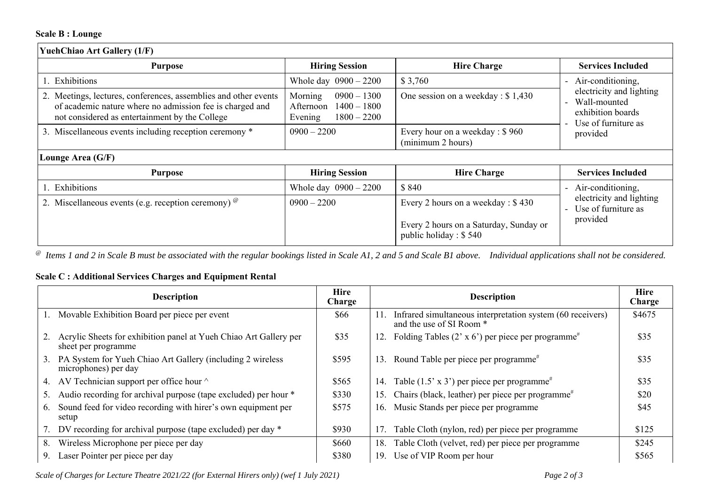## **Scale B : Lounge**

| <b>YuehChiao Art Gallery (1/F)</b>                                                                                                                                            |                                                                                    |                                                                  |                                                                                                  |  |
|-------------------------------------------------------------------------------------------------------------------------------------------------------------------------------|------------------------------------------------------------------------------------|------------------------------------------------------------------|--------------------------------------------------------------------------------------------------|--|
| <b>Purpose</b>                                                                                                                                                                | <b>Hiring Session</b>                                                              | <b>Hire Charge</b>                                               | <b>Services Included</b>                                                                         |  |
| Exhibitions                                                                                                                                                                   | Whole day $0900 - 2200$                                                            | \$3,760                                                          | Air-conditioning,                                                                                |  |
| 2. Meetings, lectures, conferences, assemblies and other events<br>of academic nature where no admission fee is charged and<br>not considered as entertainment by the College | $0900 - 1300$<br>Morning<br>$1400 - 1800$<br>Afternoon<br>Evening<br>$1800 - 2200$ | One session on a weekday : \$1,430                               | electricity and lighting<br>Wall-mounted<br>exhibition boards<br>Use of furniture as<br>provided |  |
| 3. Miscellaneous events including reception ceremony *                                                                                                                        | $0900 - 2200$                                                                      | Every hour on a weekday : \$960<br>(minimum 2 hours)             |                                                                                                  |  |
| Lounge Area (G/F)                                                                                                                                                             |                                                                                    |                                                                  |                                                                                                  |  |
| <b>Purpose</b>                                                                                                                                                                | <b>Hiring Session</b>                                                              | <b>Hire Charge</b>                                               | <b>Services Included</b>                                                                         |  |
| Exhibitions                                                                                                                                                                   | Whole day $0900 - 2200$                                                            | \$840                                                            | Air-conditioning,                                                                                |  |
| 2. Miscellaneous events (e.g. reception ceremony) $^{\circ}$                                                                                                                  | $0900 - 2200$                                                                      | Every 2 hours on a weekday : \$430                               | electricity and lighting<br>Use of furniture as                                                  |  |
|                                                                                                                                                                               |                                                                                    | Every 2 hours on a Saturday, Sunday or<br>public holiday : \$540 | provided                                                                                         |  |

*@ Items 1 and 2 in Scale B must be associated with the regular bookings listed in Scale A1, 2 and 5 and Scale B1 above. Individual applications shall not be considered.* 

## **Scale C : Additional Services Charges and Equipment Rental**

| <b>Description</b>                                                                       | Hire<br>Charge | <b>Description</b>                                                                            | <b>Hire</b><br>Charge |
|------------------------------------------------------------------------------------------|----------------|-----------------------------------------------------------------------------------------------|-----------------------|
| Movable Exhibition Board per piece per event                                             | \$66           | Infrared simultaneous interpretation system (60 receivers)<br>11.<br>and the use of SI Room * | \$4675                |
| Acrylic Sheets for exhibition panel at Yueh Chiao Art Gallery per<br>sheet per programme | \$35           | Folding Tables (2' x 6') per piece per programme <sup>#</sup><br>12.                          | \$35                  |
| PA System for Yueh Chiao Art Gallery (including 2 wireless<br>3.<br>microphones) per day | \$595          | Round Table per piece per programme <sup>#</sup><br>13.                                       | \$35                  |
| AV Technician support per office hour ^<br>4.                                            | \$565          | 14. Table $(1.5 \times 3')$ per piece per programme <sup>#</sup>                              | \$35                  |
| Audio recording for archival purpose (tape excluded) per hour *                          | \$330          | Chairs (black, leather) per piece per programme <sup>#</sup><br>15.                           | \$20                  |
| Sound feed for video recording with hirer's own equipment per<br>6.<br>setup             | \$575          | 16. Music Stands per piece per programme                                                      | \$45                  |
| DV recording for archival purpose (tape excluded) per day *                              | \$930          | Table Cloth (nylon, red) per piece per programme<br>17.                                       | \$125                 |
| Wireless Microphone per piece per day<br>8.                                              | \$660          | Table Cloth (velvet, red) per piece per programme<br>18.                                      | \$245                 |
| Laser Pointer per piece per day<br>9.                                                    | \$380          | Use of VIP Room per hour<br>19.                                                               | \$565                 |

*Scale of Charges for Lecture Theatre 2021/22 (for External Hirers only) (wef 1 July 2021) Page 2 of 3*